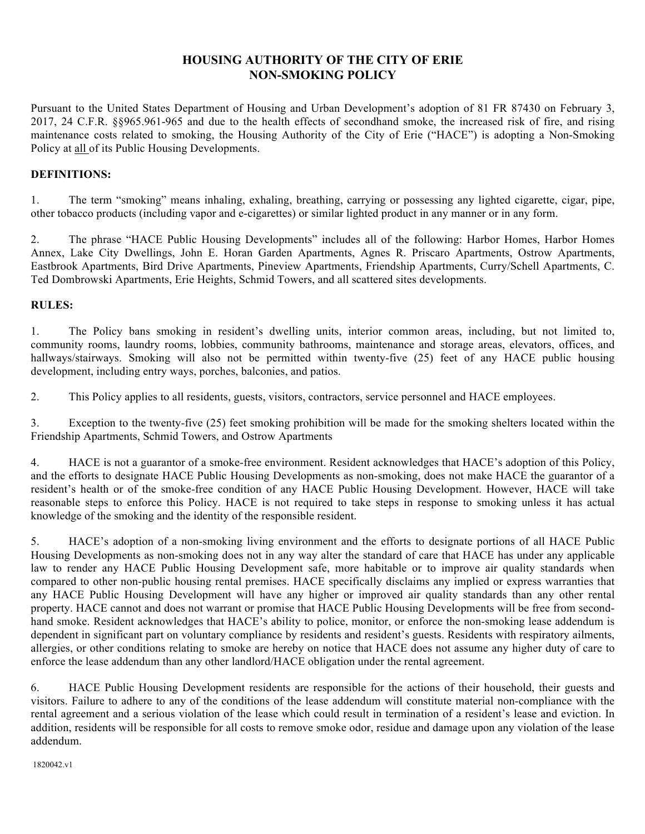# **HOUSING AUTHORITY OF THE CITY OF ERIE NON-SMOKING POLICY**

Pursuant to the United States Department of Housing and Urban Development's adoption of 81 FR 87430 on February 3, 2017, 24 C.F.R. §§965.961-965 and due to the health effects of secondhand smoke, the increased risk of fire, and rising maintenance costs related to smoking, the Housing Authority of the City of Erie ("HACE") is adopting a Non-Smoking Policy at all of its Public Housing Developments.

### **DEFINITIONS:**

1. The term "smoking" means inhaling, exhaling, breathing, carrying or possessing any lighted cigarette, cigar, pipe, other tobacco products (including vapor and e-cigarettes) or similar lighted product in any manner or in any form.

2. The phrase "HACE Public Housing Developments" includes all of the following: Harbor Homes, Harbor Homes Annex, Lake City Dwellings, John E. Horan Garden Apartments, Agnes R. Priscaro Apartments, Ostrow Apartments, Eastbrook Apartments, Bird Drive Apartments, Pineview Apartments, Friendship Apartments, Curry/Schell Apartments, C. Ted Dombrowski Apartments, Erie Heights, Schmid Towers, and all scattered sites developments.

#### **RULES:**

1. The Policy bans smoking in resident's dwelling units, interior common areas, including, but not limited to, community rooms, laundry rooms, lobbies, community bathrooms, maintenance and storage areas, elevators, offices, and hallways/stairways. Smoking will also not be permitted within twenty-five (25) feet of any HACE public housing development, including entry ways, porches, balconies, and patios.

2. This Policy applies to all residents, guests, visitors, contractors, service personnel and HACE employees.

3. Exception to the twenty-five (25) feet smoking prohibition will be made for the smoking shelters located within the Friendship Apartments, Schmid Towers, and Ostrow Apartments

4. HACE is not a guarantor of a smoke-free environment. Resident acknowledges that HACE's adoption of this Policy, and the efforts to designate HACE Public Housing Developments as non-smoking, does not make HACE the guarantor of a resident's health or of the smoke-free condition of any HACE Public Housing Development. However, HACE will take reasonable steps to enforce this Policy. HACE is not required to take steps in response to smoking unless it has actual knowledge of the smoking and the identity of the responsible resident.

5. HACE's adoption of a non-smoking living environment and the efforts to designate portions of all HACE Public Housing Developments as non-smoking does not in any way alter the standard of care that HACE has under any applicable law to render any HACE Public Housing Development safe, more habitable or to improve air quality standards when compared to other non-public housing rental premises. HACE specifically disclaims any implied or express warranties that any HACE Public Housing Development will have any higher or improved air quality standards than any other rental property. HACE cannot and does not warrant or promise that HACE Public Housing Developments will be free from secondhand smoke. Resident acknowledges that HACE's ability to police, monitor, or enforce the non-smoking lease addendum is dependent in significant part on voluntary compliance by residents and resident's guests. Residents with respiratory ailments, allergies, or other conditions relating to smoke are hereby on notice that HACE does not assume any higher duty of care to enforce the lease addendum than any other landlord/HACE obligation under the rental agreement.

6. HACE Public Housing Development residents are responsible for the actions of their household, their guests and visitors. Failure to adhere to any of the conditions of the lease addendum will constitute material non-compliance with the rental agreement and a serious violation of the lease which could result in termination of a resident's lease and eviction. In addition, residents will be responsible for all costs to remove smoke odor, residue and damage upon any violation of the lease addendum.